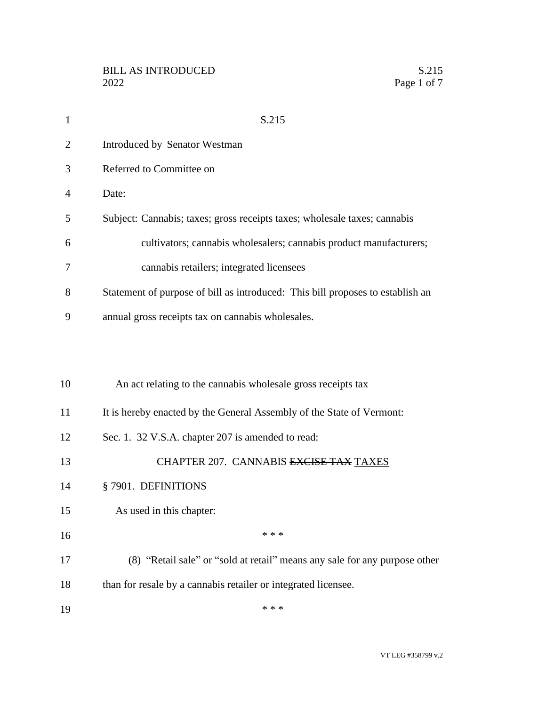| $\mathbf{1}$   | S.215                                                                          |
|----------------|--------------------------------------------------------------------------------|
| $\overline{2}$ | Introduced by Senator Westman                                                  |
| 3              | Referred to Committee on                                                       |
| $\overline{4}$ | Date:                                                                          |
| 5              | Subject: Cannabis; taxes; gross receipts taxes; wholesale taxes; cannabis      |
| 6              | cultivators; cannabis wholesalers; cannabis product manufacturers;             |
| 7              | cannabis retailers; integrated licensees                                       |
| 8              | Statement of purpose of bill as introduced: This bill proposes to establish an |
| 9              | annual gross receipts tax on cannabis wholesales.                              |
|                |                                                                                |
|                |                                                                                |
| 10             | An act relating to the cannabis wholesale gross receipts tax                   |
| 11             | It is hereby enacted by the General Assembly of the State of Vermont:          |
| 12             | Sec. 1. 32 V.S.A. chapter 207 is amended to read:                              |
| 13             | CHAPTER 207. CANNABIS EXCISE TAX TAXES                                         |
| 14             | § 7901. DEFINITIONS                                                            |
| 15             | As used in this chapter:                                                       |
| 16             | * * *                                                                          |
| 17             | (8) "Retail sale" or "sold at retail" means any sale for any purpose other     |
| 18             | than for resale by a cannabis retailer or integrated licensee.                 |
| 19             | * * *                                                                          |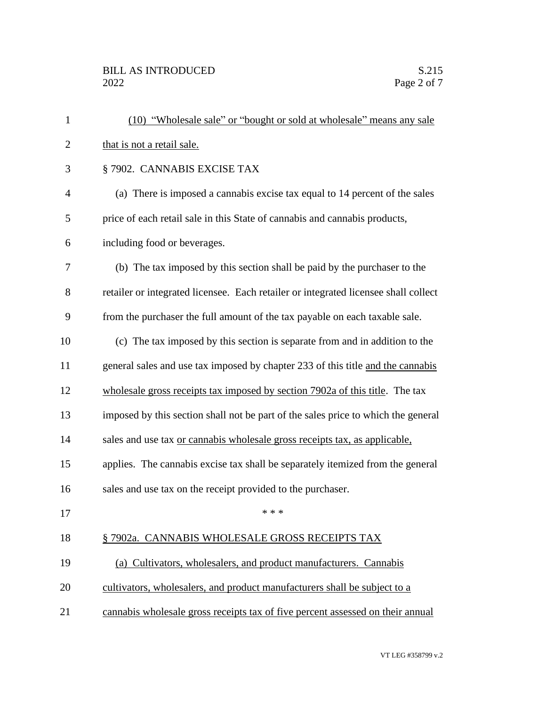| $\mathbf{1}$   | (10) "Wholesale sale" or "bought or sold at wholesale" means any sale               |
|----------------|-------------------------------------------------------------------------------------|
| $\overline{2}$ | that is not a retail sale.                                                          |
| 3              | § 7902. CANNABIS EXCISE TAX                                                         |
| 4              | (a) There is imposed a cannabis excise tax equal to 14 percent of the sales         |
| 5              | price of each retail sale in this State of cannabis and cannabis products,          |
| 6              | including food or beverages.                                                        |
| 7              | (b) The tax imposed by this section shall be paid by the purchaser to the           |
| 8              | retailer or integrated licensee. Each retailer or integrated licensee shall collect |
| 9              | from the purchaser the full amount of the tax payable on each taxable sale.         |
| 10             | (c) The tax imposed by this section is separate from and in addition to the         |
| 11             | general sales and use tax imposed by chapter 233 of this title and the cannabis     |
| 12             | wholesale gross receipts tax imposed by section 7902a of this title. The tax        |
| 13             | imposed by this section shall not be part of the sales price to which the general   |
| 14             | sales and use tax or cannabis wholesale gross receipts tax, as applicable,          |
| 15             | applies. The cannabis excise tax shall be separately itemized from the general      |
| 16             | sales and use tax on the receipt provided to the purchaser.                         |
| 17             | * * *                                                                               |
| 18             | § 7902a. CANNABIS WHOLESALE GROSS RECEIPTS TAX                                      |
| 19             | (a) Cultivators, wholesalers, and product manufacturers. Cannabis                   |
| 20             | cultivators, wholesalers, and product manufacturers shall be subject to a           |
| 21             | cannabis wholesale gross receipts tax of five percent assessed on their annual      |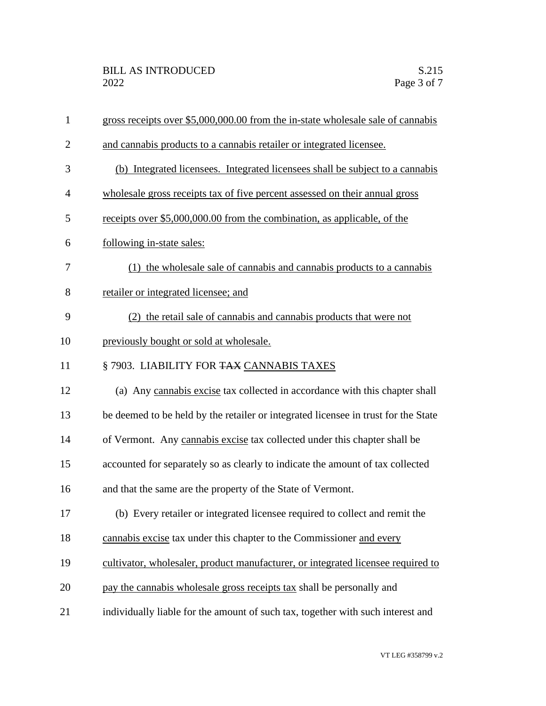| $\mathbf{1}$   | gross receipts over \$5,000,000.00 from the in-state wholesale sale of cannabis    |
|----------------|------------------------------------------------------------------------------------|
| $\overline{2}$ | and cannabis products to a cannabis retailer or integrated licensee.               |
| 3              | (b) Integrated licensees. Integrated licensees shall be subject to a cannabis      |
| 4              | wholesale gross receipts tax of five percent assessed on their annual gross        |
| 5              | receipts over \$5,000,000.00 from the combination, as applicable, of the           |
| 6              | following in-state sales:                                                          |
| 7              | (1) the wholesale sale of cannabis and cannabis products to a cannabis             |
| 8              | retailer or integrated licensee; and                                               |
| 9              | (2) the retail sale of cannabis and cannabis products that were not                |
| 10             | previously bought or sold at wholesale.                                            |
| 11             | § 7903. LIABILITY FOR TAX CANNABIS TAXES                                           |
| 12             | (a) Any cannabis excise tax collected in accordance with this chapter shall        |
| 13             | be deemed to be held by the retailer or integrated licensee in trust for the State |
| 14             | of Vermont. Any cannabis excise tax collected under this chapter shall be          |
| 15             | accounted for separately so as clearly to indicate the amount of tax collected     |
| 16             | and that the same are the property of the State of Vermont.                        |
| 17             | (b) Every retailer or integrated licensee required to collect and remit the        |
| 18             | cannabis excise tax under this chapter to the Commissioner and every               |
| 19             | cultivator, wholesaler, product manufacturer, or integrated licensee required to   |
| 20             | pay the cannabis wholesale gross receipts tax shall be personally and              |
| 21             | individually liable for the amount of such tax, together with such interest and    |
|                |                                                                                    |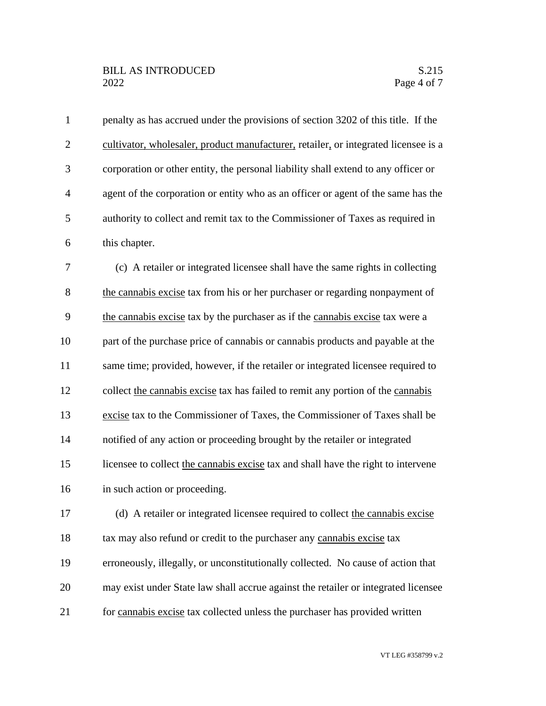| $\mathbf{1}$   | penalty as has accrued under the provisions of section 3202 of this title. If the   |
|----------------|-------------------------------------------------------------------------------------|
| $\overline{2}$ | cultivator, wholesaler, product manufacturer, retailer, or integrated licensee is a |
| 3              | corporation or other entity, the personal liability shall extend to any officer or  |
| $\overline{4}$ | agent of the corporation or entity who as an officer or agent of the same has the   |
| 5              | authority to collect and remit tax to the Commissioner of Taxes as required in      |
| 6              | this chapter.                                                                       |
| 7              | (c) A retailer or integrated licensee shall have the same rights in collecting      |
| 8              | the cannabis excise tax from his or her purchaser or regarding nonpayment of        |
| 9              | the cannabis excise tax by the purchaser as if the cannabis excise tax were a       |
| 10             | part of the purchase price of cannabis or cannabis products and payable at the      |
| 11             | same time; provided, however, if the retailer or integrated licensee required to    |
| 12             | collect the cannabis excise tax has failed to remit any portion of the cannabis     |
| 13             | excise tax to the Commissioner of Taxes, the Commissioner of Taxes shall be         |
| 14             | notified of any action or proceeding brought by the retailer or integrated          |
| 15             | licensee to collect the cannabis excise tax and shall have the right to intervene   |
| 16             | in such action or proceeding.                                                       |
| 17             | (d) A retailer or integrated licensee required to collect the cannabis excise       |
| 18             | tax may also refund or credit to the purchaser any cannabis excise tax              |
| 19             | erroneously, illegally, or unconstitutionally collected. No cause of action that    |
| 20             | may exist under State law shall accrue against the retailer or integrated licensee  |
| 21             | for cannabis excise tax collected unless the purchaser has provided written         |

VT LEG #358799 v.2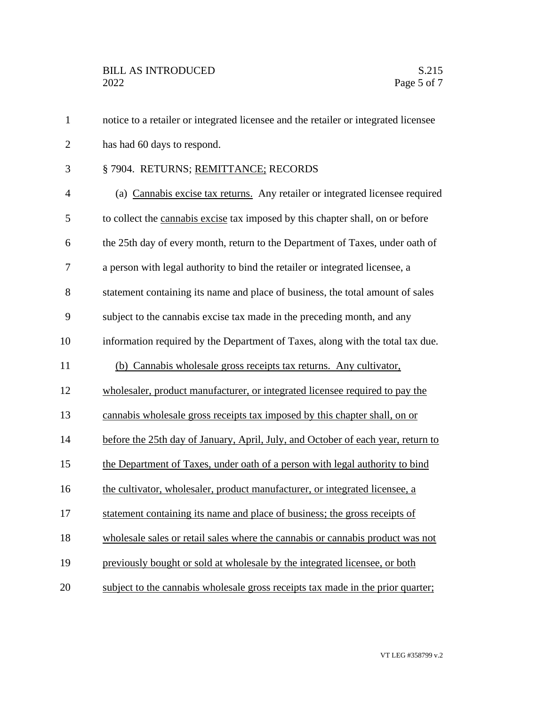notice to a retailer or integrated licensee and the retailer or integrated licensee has had 60 days to respond. § 7904. RETURNS; REMITTANCE; RECORDS (a) Cannabis excise tax returns. Any retailer or integrated licensee required to collect the cannabis excise tax imposed by this chapter shall, on or before the 25th day of every month, return to the Department of Taxes, under oath of a person with legal authority to bind the retailer or integrated licensee, a statement containing its name and place of business, the total amount of sales subject to the cannabis excise tax made in the preceding month, and any information required by the Department of Taxes, along with the total tax due. (b) Cannabis wholesale gross receipts tax returns. Any cultivator, wholesaler, product manufacturer, or integrated licensee required to pay the cannabis wholesale gross receipts tax imposed by this chapter shall, on or before the 25th day of January, April, July, and October of each year, return to the Department of Taxes, under oath of a person with legal authority to bind the cultivator, wholesaler, product manufacturer, or integrated licensee, a statement containing its name and place of business; the gross receipts of wholesale sales or retail sales where the cannabis or cannabis product was not previously bought or sold at wholesale by the integrated licensee, or both subject to the cannabis wholesale gross receipts tax made in the prior quarter;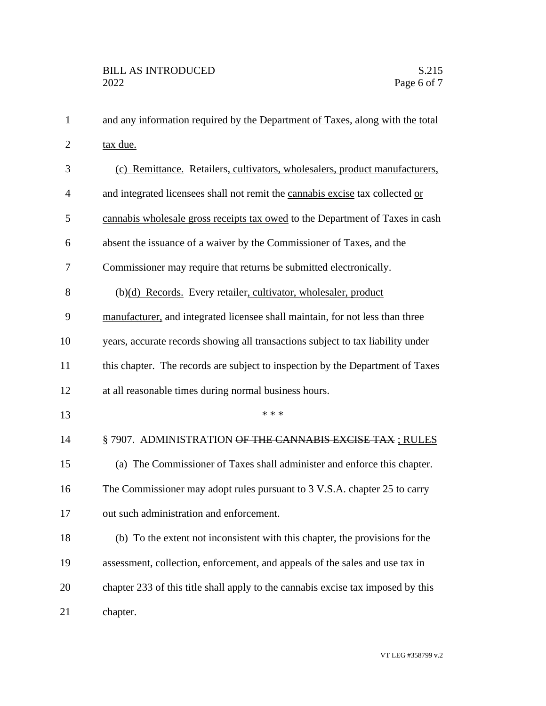| $\mathbf{1}$   | and any information required by the Department of Taxes, along with the total       |
|----------------|-------------------------------------------------------------------------------------|
| $\overline{2}$ | tax due.                                                                            |
| 3              | (c) Remittance. Retailers, cultivators, wholesalers, product manufacturers,         |
| 4              | and integrated licensees shall not remit the cannabis excise tax collected or       |
| 5              | cannabis wholesale gross receipts tax owed to the Department of Taxes in cash       |
| 6              | absent the issuance of a waiver by the Commissioner of Taxes, and the               |
| 7              | Commissioner may require that returns be submitted electronically.                  |
| 8              | $\left(\frac{b}{c}\right)$ Records. Every retailer, cultivator, wholesaler, product |
| 9              | manufacturer, and integrated licensee shall maintain, for not less than three       |
| 10             | years, accurate records showing all transactions subject to tax liability under     |
| 11             | this chapter. The records are subject to inspection by the Department of Taxes      |
| 12             | at all reasonable times during normal business hours.                               |
| 13             | * * *                                                                               |
| 14             | §7907. ADMINISTRATION OF THE CANNABIS EXCISE TAX; RULES                             |
| 15             | (a) The Commissioner of Taxes shall administer and enforce this chapter.            |
| 16             | The Commissioner may adopt rules pursuant to 3 V.S.A. chapter 25 to carry           |
| 17             | out such administration and enforcement.                                            |
| 18             | (b) To the extent not inconsistent with this chapter, the provisions for the        |
| 19             | assessment, collection, enforcement, and appeals of the sales and use tax in        |
| 20             | chapter 233 of this title shall apply to the cannabis excise tax imposed by this    |
| 21             | chapter.                                                                            |